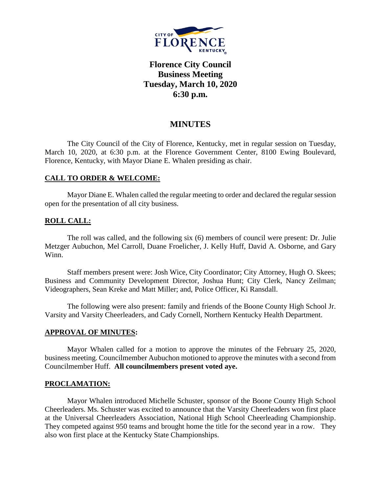

# **Florence City Council Business Meeting Tuesday, March 10, 2020 6:30 p.m.**

## **MINUTES**

The City Council of the City of Florence, Kentucky, met in regular session on Tuesday, March 10, 2020, at 6:30 p.m. at the Florence Government Center, 8100 Ewing Boulevard, Florence, Kentucky, with Mayor Diane E. Whalen presiding as chair.

## **CALL TO ORDER & WELCOME:**

Mayor Diane E. Whalen called the regular meeting to order and declared the regular session open for the presentation of all city business.

## **ROLL CALL:**

The roll was called, and the following six (6) members of council were present: Dr. Julie Metzger Aubuchon, Mel Carroll, Duane Froelicher, J. Kelly Huff, David A. Osborne, and Gary Winn.

Staff members present were: Josh Wice, City Coordinator; City Attorney, Hugh O. Skees; Business and Community Development Director, Joshua Hunt; City Clerk, Nancy Zeilman; Videographers, Sean Kreke and Matt Miller; and, Police Officer, Ki Ransdall.

The following were also present: family and friends of the Boone County High School Jr. Varsity and Varsity Cheerleaders, and Cady Cornell, Northern Kentucky Health Department.

### **APPROVAL OF MINUTES:**

Mayor Whalen called for a motion to approve the minutes of the February 25, 2020, business meeting. Councilmember Aubuchon motioned to approve the minutes with a second from Councilmember Huff. **All councilmembers present voted aye.**

### **PROCLAMATION:**

Mayor Whalen introduced Michelle Schuster, sponsor of the Boone County High School Cheerleaders. Ms. Schuster was excited to announce that the Varsity Cheerleaders won first place at the Universal Cheerleaders Association, National High School Cheerleading Championship. They competed against 950 teams and brought home the title for the second year in a row. They also won first place at the Kentucky State Championships.